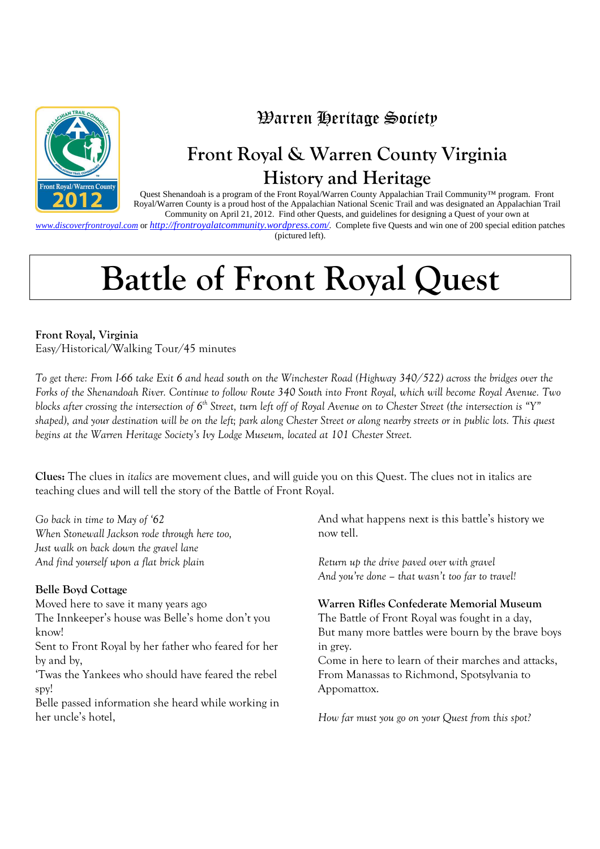

### Warren Heritage Society

## **Front Royal & Warren County Virginia History and Heritage**

Quest Shenandoah is a program of the Front Royal/Warren County Appalachian Trail Community™ program. Front Royal/Warren County is a proud host of the Appalachian National Scenic Trail and was designated an Appalachian Trail Community on April 21, 2012. Find other Quests, and guidelines for designing a Quest of your own at

*www.discoverfrontroyal.com* or *http://frontroyalatcommunity.wordpress.com/.* Complete five Quests and win one of 200 special edition patches (pictured left).

# **Battle of Front Royal Quest**

**Front Royal, Virginia**  Easy/Historical/Walking Tour/45 minutes

*To get there: From I-66 take Exit 6 and head south on the Winchester Road (Highway 340/522) across the bridges over the Forks of the Shenandoah River. Continue to follow Route 340 South into Front Royal, which will become Royal Avenue. Two blocks after crossing the intersection of 6th Street, turn left off of Royal Avenue on to Chester Street (the intersection is "Y" shaped), and your destination will be on the left; park along Chester Street or along nearby streets or in public lots. This quest begins at the Warren Heritage Society's Ivy Lodge Museum, located at 101 Chester Street.* 

**Clues:** The clues in *italics* are movement clues, and will guide you on this Quest. The clues not in italics are teaching clues and will tell the story of the Battle of Front Royal.

*Go back in time to May of '62 When Stonewall Jackson rode through here too, Just walk on back down the gravel lane And find yourself upon a flat brick plain*

#### **Belle Boyd Cottage**

Moved here to save it many years ago The Innkeeper's house was Belle's home don't you know!

Sent to Front Royal by her father who feared for her by and by,

'Twas the Yankees who should have feared the rebel spy!

Belle passed information she heard while working in her uncle's hotel,

And what happens next is this battle's history we now tell.

*Return up the drive paved over with gravel And you're done – that wasn't too far to travel!*

#### **Warren Rifles Confederate Memorial Museum**

The Battle of Front Royal was fought in a day, But many more battles were bourn by the brave boys in grey.

Come in here to learn of their marches and attacks, From Manassas to Richmond, Spotsylvania to Appomattox.

*How far must you go on your Quest from this spot?*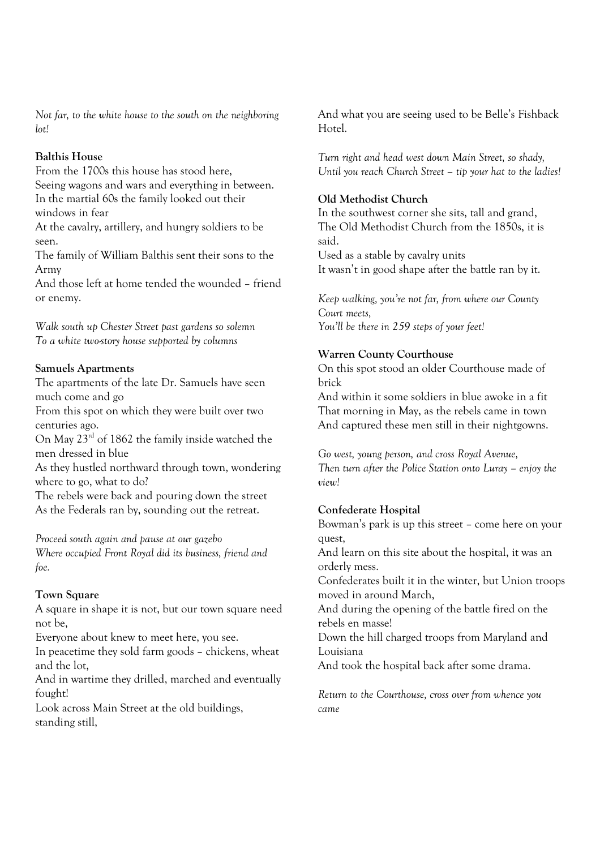*Not far, to the white house to the south on the neighboring lot!*

#### **Balthis House**

From the 1700s this house has stood here, Seeing wagons and wars and everything in between. In the martial 60s the family looked out their windows in fear

At the cavalry, artillery, and hungry soldiers to be seen.

The family of William Balthis sent their sons to the Army

And those left at home tended the wounded – friend or enemy.

*Walk south up Chester Street past gardens so solemn To a white two-story house supported by columns*

#### **Samuels Apartments**

The apartments of the late Dr. Samuels have seen much come and go

From this spot on which they were built over two centuries ago.

On May 23rd of 1862 the family inside watched the men dressed in blue

As they hustled northward through town, wondering where to go, what to do?

The rebels were back and pouring down the street As the Federals ran by, sounding out the retreat.

*Proceed south again and pause at our gazebo Where occupied Front Royal did its business, friend and foe.*

#### **Town Square**

A square in shape it is not, but our town square need not be,

Everyone about knew to meet here, you see.

In peacetime they sold farm goods – chickens, wheat and the lot,

And in wartime they drilled, marched and eventually fought!

Look across Main Street at the old buildings, standing still,

And what you are seeing used to be Belle's Fishback Hotel.

*Turn right and head west down Main Street, so shady, Until you reach Church Street – tip your hat to the ladies!*

#### **Old Methodist Church**

In the southwest corner she sits, tall and grand, The Old Methodist Church from the 1850s, it is said. Used as a stable by cavalry units It wasn't in good shape after the battle ran by it.

*Keep walking, you're not far, from where our County Court meets, You'll be there in 259 steps of your feet!*

#### **Warren County Courthouse**

On this spot stood an older Courthouse made of brick

And within it some soldiers in blue awoke in a fit That morning in May, as the rebels came in town And captured these men still in their nightgowns.

*Go west, young person, and cross Royal Avenue, Then turn after the Police Station onto Luray – enjoy the view!* 

#### **Confederate Hospital**

Bowman's park is up this street – come here on your quest,

And learn on this site about the hospital, it was an orderly mess.

Confederates built it in the winter, but Union troops moved in around March,

And during the opening of the battle fired on the rebels en masse!

Down the hill charged troops from Maryland and Louisiana

And took the hospital back after some drama.

*Return to the Courthouse, cross over from whence you came*